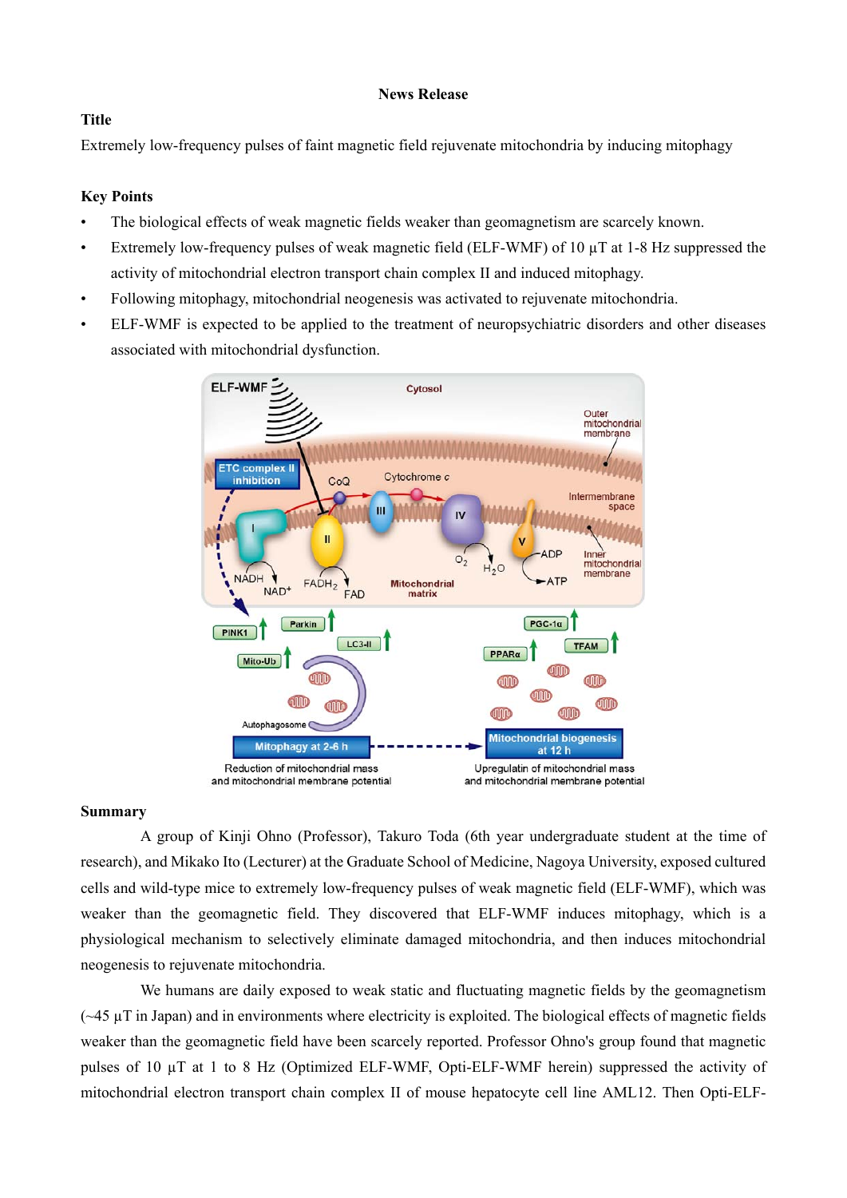### **News Release**

## **Title**

Extremely low-frequency pulses of faint magnetic field rejuvenate mitochondria by inducing mitophagy

### **Key Points**

- The biological effects of weak magnetic fields weaker than geomagnetism are scarcely known.
- Extremely low-frequency pulses of weak magnetic field (ELF-WMF) of 10  $\mu$ T at 1-8 Hz suppressed the activity of mitochondrial electron transport chain complex II and induced mitophagy.
- Following mitophagy, mitochondrial neogenesis was activated to rejuvenate mitochondria.
- ELF-WMF is expected to be applied to the treatment of neuropsychiatric disorders and other diseases associated with mitochondrial dysfunction.



#### **Summary**

A group of Kinji Ohno (Professor), Takuro Toda (6th year undergraduate student at the time of research), and Mikako Ito (Lecturer) at the Graduate School of Medicine, Nagoya University, exposed cultured cells and wild-type mice to extremely low-frequency pulses of weak magnetic field (ELF-WMF), which was weaker than the geomagnetic field. They discovered that ELF-WMF induces mitophagy, which is a physiological mechanism to selectively eliminate damaged mitochondria, and then induces mitochondrial neogenesis to rejuvenate mitochondria.

We humans are daily exposed to weak static and fluctuating magnetic fields by the geomagnetism  $(-45 \mu T)$  in Japan) and in environments where electricity is exploited. The biological effects of magnetic fields weaker than the geomagnetic field have been scarcely reported. Professor Ohno's group found that magnetic pulses of 10 µT at 1 to 8 Hz (Optimized ELF-WMF, Opti-ELF-WMF herein) suppressed the activity of mitochondrial electron transport chain complex II of mouse hepatocyte cell line AML12. Then Opti-ELF-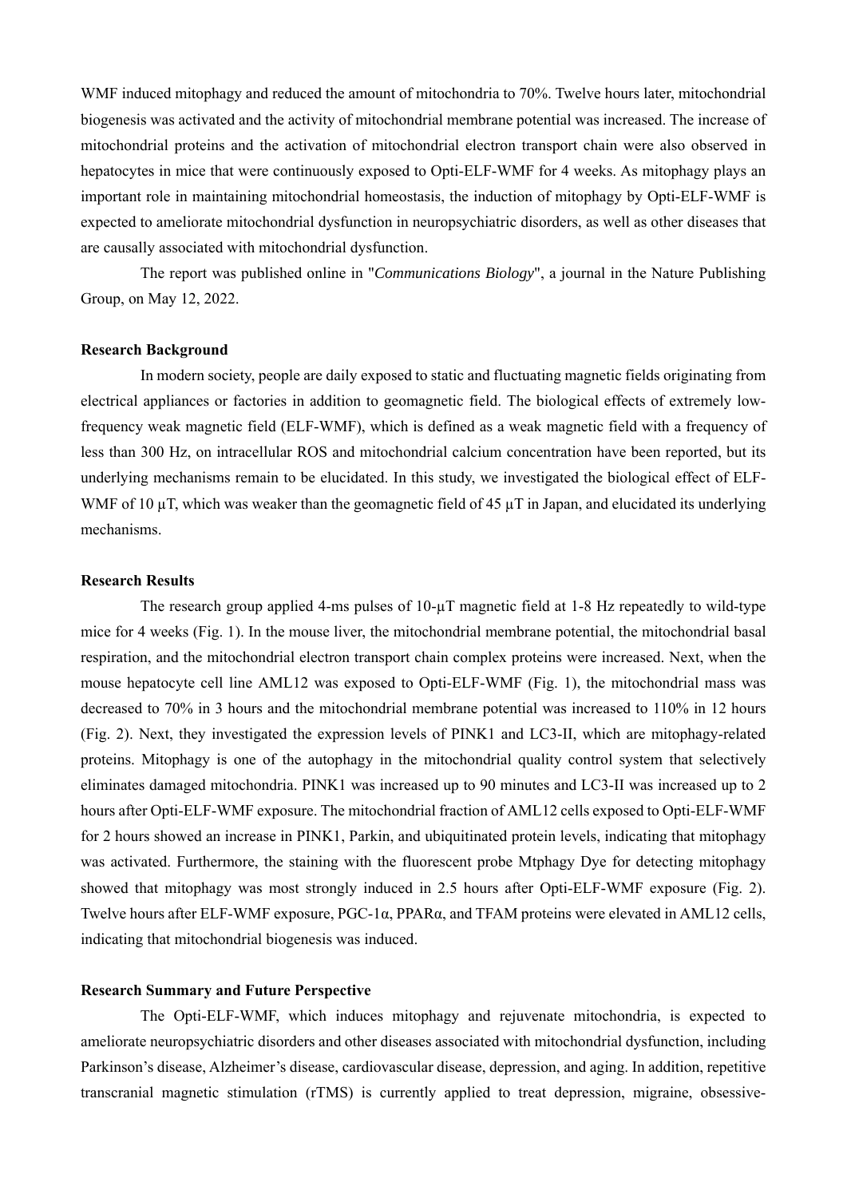WMF induced mitophagy and reduced the amount of mitochondria to 70%. Twelve hours later, mitochondrial biogenesis was activated and the activity of mitochondrial membrane potential was increased. The increase of mitochondrial proteins and the activation of mitochondrial electron transport chain were also observed in hepatocytes in mice that were continuously exposed to Opti-ELF-WMF for 4 weeks. As mitophagy plays an important role in maintaining mitochondrial homeostasis, the induction of mitophagy by Opti-ELF-WMF is expected to ameliorate mitochondrial dysfunction in neuropsychiatric disorders, as well as other diseases that are causally associated with mitochondrial dysfunction.

The report was published online in "*Communications Biology*", a journal in the Nature Publishing Group, on May 12, 2022.

#### **Research Background**

In modern society, people are daily exposed to static and fluctuating magnetic fields originating from electrical appliances or factories in addition to geomagnetic field. The biological effects of extremely lowfrequency weak magnetic field (ELF-WMF), which is defined as a weak magnetic field with a frequency of less than 300 Hz, on intracellular ROS and mitochondrial calcium concentration have been reported, but its underlying mechanisms remain to be elucidated. In this study, we investigated the biological effect of ELF-WMF of 10  $\mu$ T, which was weaker than the geomagnetic field of 45  $\mu$ T in Japan, and elucidated its underlying mechanisms.

#### **Research Results**

The research group applied 4-ms pulses of 10-µT magnetic field at 1-8 Hz repeatedly to wild-type mice for 4 weeks (Fig. 1). In the mouse liver, the mitochondrial membrane potential, the mitochondrial basal respiration, and the mitochondrial electron transport chain complex proteins were increased. Next, when the mouse hepatocyte cell line AML12 was exposed to Opti-ELF-WMF (Fig. 1), the mitochondrial mass was decreased to 70% in 3 hours and the mitochondrial membrane potential was increased to 110% in 12 hours (Fig. 2). Next, they investigated the expression levels of PINK1 and LC3-II, which are mitophagy-related proteins. Mitophagy is one of the autophagy in the mitochondrial quality control system that selectively eliminates damaged mitochondria. PINK1 was increased up to 90 minutes and LC3-II was increased up to 2 hours after Opti-ELF-WMF exposure. The mitochondrial fraction of AML12 cells exposed to Opti-ELF-WMF for 2 hours showed an increase in PINK1, Parkin, and ubiquitinated protein levels, indicating that mitophagy was activated. Furthermore, the staining with the fluorescent probe Mtphagy Dye for detecting mitophagy showed that mitophagy was most strongly induced in 2.5 hours after Opti-ELF-WMF exposure (Fig. 2). Twelve hours after ELF-WMF exposure, PGC-1α, PPARα, and TFAM proteins were elevated in AML12 cells, indicating that mitochondrial biogenesis was induced.

#### **Research Summary and Future Perspective**

The Opti-ELF-WMF, which induces mitophagy and rejuvenate mitochondria, is expected to ameliorate neuropsychiatric disorders and other diseases associated with mitochondrial dysfunction, including Parkinson's disease, Alzheimer's disease, cardiovascular disease, depression, and aging. In addition, repetitive transcranial magnetic stimulation (rTMS) is currently applied to treat depression, migraine, obsessive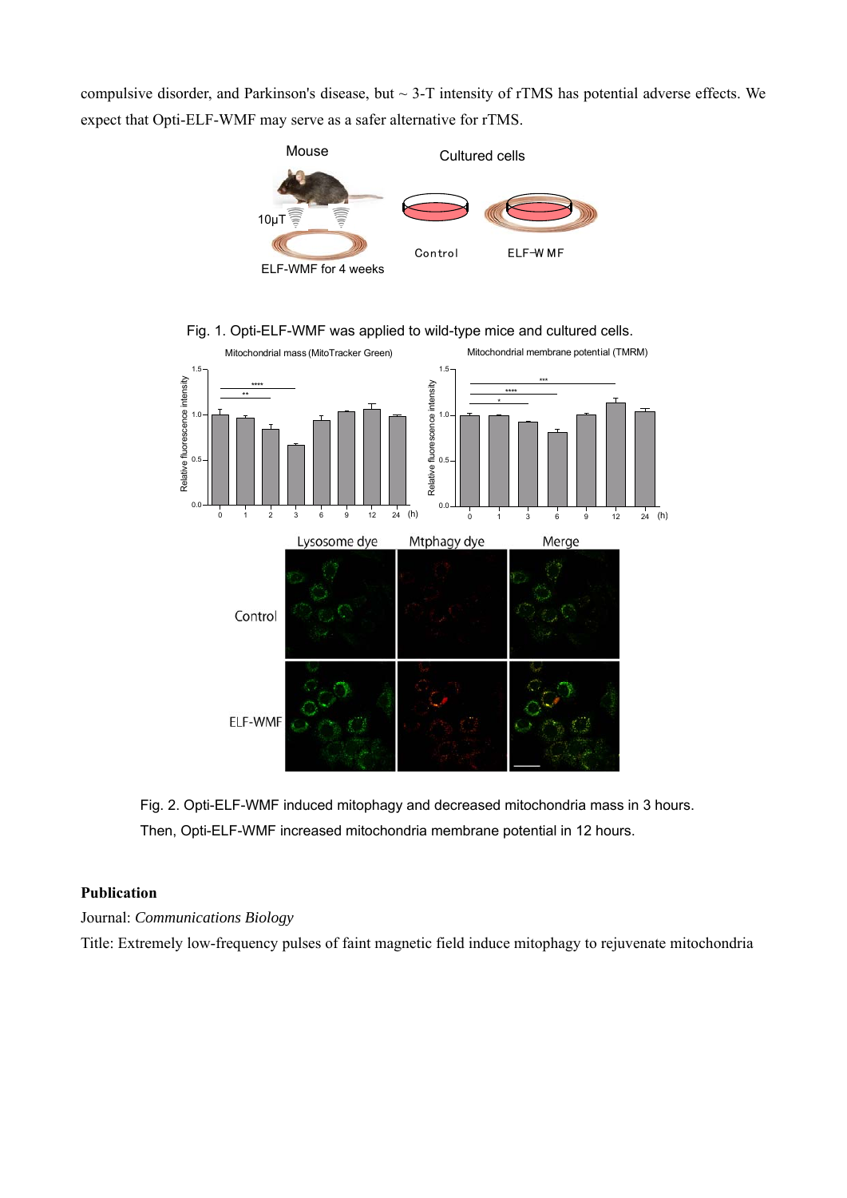compulsive disorder, and Parkinson's disease, but ~ 3-T intensity of rTMS has potential adverse effects. We expect that Opti-ELF-WMF may serve as a safer alternative for rTMS.







Fig. 2. Opti-ELF-WMF induced mitophagy and decreased mitochondria mass in 3 hours. Then, Opti-ELF-WMF increased mitochondria membrane potential in 12 hours.

# **Publication**

Journal: *Communications Biology*

Title: Extremely low-frequency pulses of faint magnetic field induce mitophagy to rejuvenate mitochondria